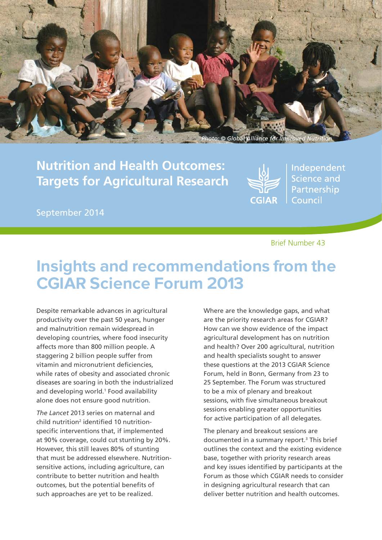

**Nutrition and Health Outcomes: Targets for Agricultural Research**



Independent **Science and** Partnership Council

September 2014

### Brief Number 43

# Insights and recommendations from the CGIAR Science Forum 2013

Despite remarkable advances in agricultural productivity over the past 50 years, hunger and malnutrition remain widespread in developing countries, where food insecurity affects more than 800 million people. A staggering 2 billion people suffer from vitamin and micronutrient deficiencies, while rates of obesity and associated chronic diseases are soaring in both the industrialized and developing world.<sup>1</sup> Food availability alone does not ensure good nutrition.

*The Lancet* 2013 series on maternal and child nutrition<sup>2</sup> identified 10 nutritionspecific interventions that, if implemented at 90% coverage, could cut stunting by 20%. However, this still leaves 80% of stunting that must be addressed elsewhere. Nutritionsensitive actions, including agriculture, can contribute to better nutrition and health outcomes, but the potential benefits of such approaches are yet to be realized.

Where are the knowledge gaps, and what are the priority research areas for CGIAR? How can we show evidence of the impact agricultural development has on nutrition and health? Over 200 agricultural, nutrition and health specialists sought to answer these questions at the 2013 CGIAR Science Forum, held in Bonn, Germany from 23 to 25 September. The Forum was structured to be a mix of plenary and breakout sessions, with five simultaneous breakout sessions enabling greater opportunities for active participation of all delegates.

The plenary and breakout sessions are documented in a summary report.<sup>3</sup> This brief outlines the context and the existing evidence base, together with priority research areas and key issues identified by participants at the Forum as those which CGIAR needs to consider in designing agricultural research that can deliver better nutrition and health outcomes.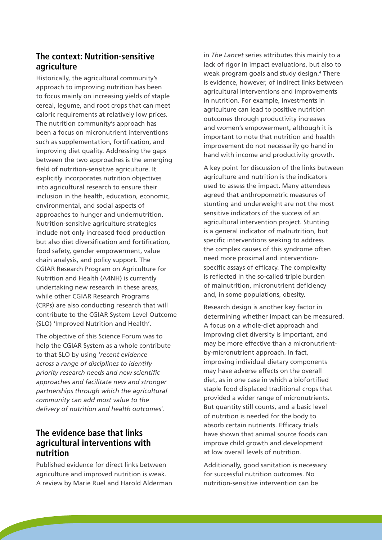# **The context: Nutrition-sensitive agriculture**

Historically, the agricultural community's approach to improving nutrition has been to focus mainly on increasing yields of staple cereal, legume, and root crops that can meet caloric requirements at relatively low prices. The nutrition community's approach has been a focus on micronutrient interventions such as supplementation, fortification, and improving diet quality. Addressing the gaps between the two approaches is the emerging field of nutrition-sensitive agriculture. It explicitly incorporates nutrition objectives into agricultural research to ensure their inclusion in the health, education, economic, environmental, and social aspects of approaches to hunger and undernutrition. Nutrition-sensitive agriculture strategies include not only increased food production but also diet diversification and fortification, food safety, gender empowerment, value chain analysis, and policy support. The CGIAR Research Program on Agriculture for Nutrition and Health (A4NH) is currently undertaking new research in these areas, while other CGIAR Research Programs (CRPs) are also conducting research that will contribute to the CGIAR System Level Outcome (SLO) 'Improved Nutrition and Health'.

The objective of this Science Forum was to help the CGIAR System as a whole contribute to that SLO by using '*recent evidence across a range of disciplines to identify priority research needs and new scientific approaches and facilitate new and stronger partnerships through which the agricultural community can add most value to the delivery of nutrition and health outcomes*'.

# **The evidence base that links agricultural interventions with nutrition**

Published evidence for direct links between agriculture and improved nutrition is weak. A review by Marie Ruel and Harold Alderman in *The Lancet* series attributes this mainly to a lack of rigor in impact evaluations, but also to weak program goals and study design.<sup>4</sup> There is evidence, however, of indirect links between agricultural interventions and improvements in nutrition. For example, investments in agriculture can lead to positive nutrition outcomes through productivity increases and women's empowerment, although it is important to note that nutrition and health improvement do not necessarily go hand in hand with income and productivity growth.

A key point for discussion of the links between agriculture and nutrition is the indicators used to assess the impact. Many attendees agreed that anthropometric measures of stunting and underweight are not the most sensitive indicators of the success of an agricultural intervention project. Stunting is a general indicator of malnutrition, but specific interventions seeking to address the complex causes of this syndrome often need more proximal and interventionspecific assays of efficacy. The complexity is reflected in the so-called triple burden of malnutrition, micronutrient deficiency and, in some populations, obesity.

Research design is another key factor in determining whether impact can be measured. A focus on a whole-diet approach and improving diet diversity is important, and may be more effective than a micronutrientby-micronutrient approach. In fact, improving individual dietary components may have adverse effects on the overall diet, as in one case in which a biofortified staple food displaced traditional crops that provided a wider range of micronutrients. But quantity still counts, and a basic level of nutrition is needed for the body to absorb certain nutrients. Efficacy trials have shown that animal source foods can improve child growth and development at low overall levels of nutrition.

Additionally, good sanitation is necessary for successful nutrition outcomes. No nutrition-sensitive intervention can be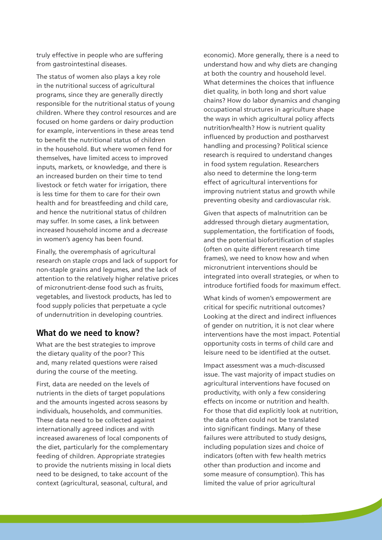truly effective in people who are suffering from gastrointestinal diseases.

The status of women also plays a key role in the nutritional success of agricultural programs, since they are generally directly responsible for the nutritional status of young children. Where they control resources and are focused on home gardens or dairy production for example, interventions in these areas tend to benefit the nutritional status of children in the household. But where women fend for themselves, have limited access to improved inputs, markets, or knowledge, and there is an increased burden on their time to tend livestock or fetch water for irrigation, there is less time for them to care for their own health and for breastfeeding and child care, and hence the nutritional status of children may suffer. In some cases, a link between increased household income and a *decrease* in women's agency has been found.

Finally, the overemphasis of agricultural research on staple crops and lack of support for non-staple grains and legumes, and the lack of attention to the relatively higher relative prices of micronutrient-dense food such as fruits, vegetables, and livestock products, has led to food supply policies that perpetuate a cycle of undernutrition in developing countries.

## **What do we need to know?**

What are the best strategies to improve the dietary quality of the poor? This and, many related questions were raised during the course of the meeting.

First, data are needed on the levels of nutrients in the diets of target populations and the amounts ingested across seasons by individuals, households, and communities. These data need to be collected against internationally agreed indices and with increased awareness of local components of the diet, particularly for the complementary feeding of children. Appropriate strategies to provide the nutrients missing in local diets need to be designed, to take account of the context (agricultural, seasonal, cultural, and

economic). More generally, there is a need to understand how and why diets are changing at both the country and household level. What determines the choices that influence diet quality, in both long and short value chains? How do labor dynamics and changing occupational structures in agriculture shape the ways in which agricultural policy affects nutrition/health? How is nutrient quality influenced by production and postharvest handling and processing? Political science research is required to understand changes in food system regulation. Researchers also need to determine the long-term effect of agricultural interventions for improving nutrient status and growth while preventing obesity and cardiovascular risk.

Given that aspects of malnutrition can be addressed through dietary augmentation, supplementation, the fortification of foods, and the potential biofortification of staples (often on quite different research time frames), we need to know how and when micronutrient interventions should be integrated into overall strategies, or when to introduce fortified foods for maximum effect.

What kinds of women's empowerment are critical for specific nutritional outcomes? Looking at the direct and indirect influences of gender on nutrition, it is not clear where interventions have the most impact. Potential opportunity costs in terms of child care and leisure need to be identified at the outset.

Impact assessment was a much-discussed issue. The vast majority of impact studies on agricultural interventions have focused on productivity, with only a few considering effects on income or nutrition and health. For those that did explicitly look at nutrition, the data often could not be translated into significant findings. Many of these failures were attributed to study designs, including population sizes and choice of indicators (often with few health metrics other than production and income and some measure of consumption). This has limited the value of prior agricultural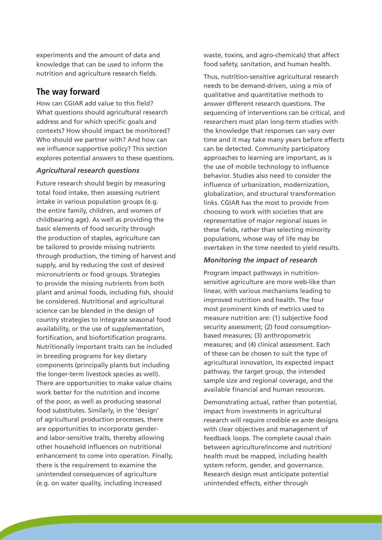experiments and the amount of data and knowledge that can be used to inform the nutrition and agriculture research fields.

# **The way forward**

How can CGIAR add value to this field? What questions should agricultural research address and for which specific goals and contexts? How should impact be monitored? Who should we partner with? And how can we influence supportive policy? This section explores potential answers to these questions.

#### *Agricultural research questions*

Future research should begin by measuring total food intake, then assessing nutrient intake in various population groups (e.g. the entire family, children, and women of childbearing age). As well as providing the basic elements of food security through the production of staples, agriculture can be tailored to provide missing nutrients through production, the timing of harvest and supply, and by reducing the cost of desired micronutrients or food groups. Strategies to provide the missing nutrients from both plant and animal foods, including fish, should be considered. Nutritional and agricultural science can be blended in the design of country strategies to integrate seasonal food availability, or the use of supplementation, fortification, and biofortification programs. Nutritionally important traits can be included in breeding programs for key dietary components (principally plants but including the longer-term livestock species as well). There are opportunities to make value chains work better for the nutrition and income of the poor, as well as producing seasonal food substitutes. Similarly, in the 'design' of agricultural production processes, there are opportunities to incorporate genderand labor-sensitive traits, thereby allowing other household influences on nutritional enhancement to come into operation. Finally, there is the requirement to examine the unintended consequences of agriculture (e.g. on water quality, including increased

waste, toxins, and agro-chemicals) that affect food safety, sanitation, and human health.

Thus, nutrition-sensitive agricultural research needs to be demand-driven, using a mix of qualitative and quantitative methods to answer different research questions. The sequencing of interventions can be critical, and researchers must plan long-term studies with the knowledge that responses can vary over time and it may take many years before effects can be detected. Community participatory approaches to learning are important, as is the use of mobile technology to influence behavior. Studies also need to consider the influence of urbanization, modernization, globalization, and structural transformation links. CGIAR has the most to provide from choosing to work with societies that are representative of major regional issues in these fields, rather than selecting minority populations, whose way of life may be overtaken in the time needed to yield results.

#### *Monitoring the impact of research*

Program impact pathways in nutritionsensitive agriculture are more web-like than linear, with various mechanisms leading to improved nutrition and health. The four most prominent kinds of metrics used to measure nutrition are: (1) subjective food security assessment; (2) food consumptionbased measures; (3) anthropometric measures; and (4) clinical assessment. Each of these can be chosen to suit the type of agricultural innovation, its expected impact pathway, the target group, the intended sample size and regional coverage, and the available financial and human resources.

Demonstrating actual, rather than potential, impact from investments in agricultural research will require credible *ex ante* designs with clear objectives and management of feedback loops. The complete causal chain between agriculture/income and nutrition/ health must be mapped, including health system reform, gender, and governance. Research design must anticipate potential unintended effects, either through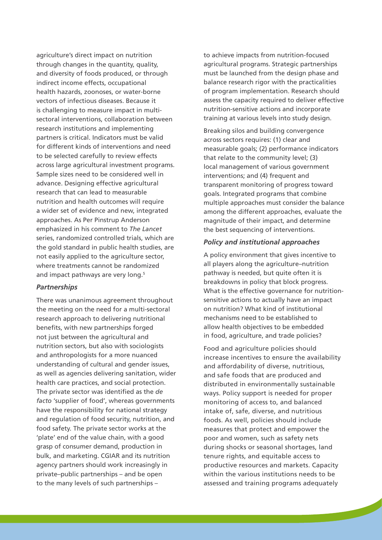agriculture's direct impact on nutrition through changes in the quantity, quality, and diversity of foods produced, or through indirect income effects, occupational health hazards, zoonoses, or water-borne vectors of infectious diseases. Because it is challenging to measure impact in multisectoral interventions, collaboration between research institutions and implementing partners is critical. Indicators must be valid for different kinds of interventions and need to be selected carefully to review effects across large agricultural investment programs. Sample sizes need to be considered well in advance. Designing effective agricultural research that can lead to measurable nutrition and health outcomes will require a wider set of evidence and new, integrated approaches. As Per Pinstrup Anderson emphasized in his comment to *The Lancet* series, randomized controlled trials, which are the gold standard in public health studies, are not easily applied to the agriculture sector, where treatments cannot be randomized and impact pathways are very long.<sup>5</sup>

#### *Partnerships*

There was unanimous agreement throughout the meeting on the need for a multi-sectoral research approach to delivering nutritional benefits, with new partnerships forged not just between the agricultural and nutrition sectors, but also with sociologists and anthropologists for a more nuanced understanding of cultural and gender issues, as well as agencies delivering sanitation, wider health care practices, and social protection. The private sector was identified as the *de facto* 'supplier of food', whereas governments have the responsibility for national strategy and regulation of food security, nutrition, and food safety. The private sector works at the 'plate' end of the value chain, with a good grasp of consumer demand, production in bulk, and marketing. CGIAR and its nutrition agency partners should work increasingly in private–public partnerships – and be open to the many levels of such partnerships –

to achieve impacts from nutrition-focused agricultural programs. Strategic partnerships must be launched from the design phase and balance research rigor with the practicalities of program implementation. Research should assess the capacity required to deliver effective nutrition-sensitive actions and incorporate training at various levels into study design.

Breaking silos and building convergence across sectors requires: (1) clear and measurable goals; (2) performance indicators that relate to the community level; (3) local management of various government interventions; and (4) frequent and transparent monitoring of progress toward goals. Integrated programs that combine multiple approaches must consider the balance among the different approaches, evaluate the magnitude of their impact, and determine the best sequencing of interventions.

#### *Policy and institutional approaches*

A policy environment that gives incentive to all players along the agriculture–nutrition pathway is needed, but quite often it is breakdowns in policy that block progress. What is the effective governance for nutritionsensitive actions to actually have an impact on nutrition? What kind of institutional mechanisms need to be established to allow health objectives to be embedded in food, agriculture, and trade policies?

Food and agriculture policies should increase incentives to ensure the availability and affordability of diverse, nutritious, and safe foods that are produced and distributed in environmentally sustainable ways. Policy support is needed for proper monitoring of access to, and balanced intake of, safe, diverse, and nutritious foods. As well, policies should include measures that protect and empower the poor and women, such as safety nets during shocks or seasonal shortages, land tenure rights, and equitable access to productive resources and markets. Capacity within the various institutions needs to be assessed and training programs adequately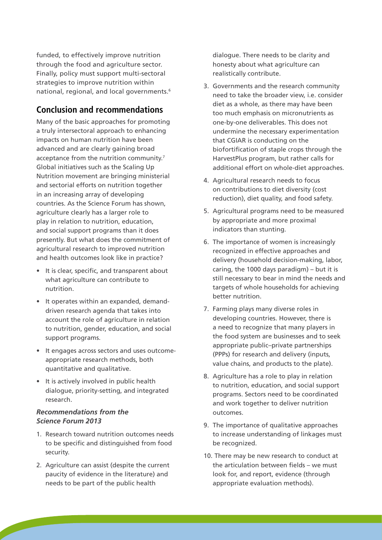funded, to effectively improve nutrition through the food and agriculture sector. Finally, policy must support multi-sectoral strategies to improve nutrition within national, regional, and local governments.6

# **Conclusion and recommendations**

Many of the basic approaches for promoting a truly intersectoral approach to enhancing impacts on human nutrition have been advanced and are clearly gaining broad acceptance from the nutrition community.7 Global initiatives such as the Scaling Up Nutrition movement are bringing ministerial and sectorial efforts on nutrition together in an increasing array of developing countries. As the Science Forum has shown, agriculture clearly has a larger role to play in relation to nutrition, education, and social support programs than it does presently. But what does the commitment of agricultural research to improved nutrition and health outcomes look like in practice?

- • It is clear, specific, and transparent about what agriculture can contribute to nutrition.
- It operates within an expanded, demanddriven research agenda that takes into account the role of agriculture in relation to nutrition, gender, education, and social support programs.
- • It engages across sectors and uses outcomeappropriate research methods, both quantitative and qualitative.
- It is actively involved in public health dialogue, priority-setting, and integrated research.

#### *Recommendations from the Science Forum 2013*

- 1. Research toward nutrition outcomes needs to be specific and distinguished from food security.
- 2. Agriculture can assist (despite the current paucity of evidence in the literature) and needs to be part of the public health

dialogue. There needs to be clarity and honesty about what agriculture can realistically contribute.

- 3. Governments and the research community need to take the broader view, i.e. consider diet as a whole, as there may have been too much emphasis on micronutrients as one-by-one deliverables. This does not undermine the necessary experimentation that CGIAR is conducting on the biofortification of staple crops through the HarvestPlus program, but rather calls for additional effort on whole-diet approaches.
- 4. Agricultural research needs to focus on contributions to diet diversity (cost reduction), diet quality, and food safety.
- 5. Agricultural programs need to be measured by appropriate and more proximal indicators than stunting.
- 6. The importance of women is increasingly recognized in effective approaches and delivery (household decision-making, labor, caring, the 1000 days paradigm) – but it is still necessary to bear in mind the needs and targets of whole households for achieving better nutrition.
- 7. Farming plays many diverse roles in developing countries. However, there is a need to recognize that many players in the food system are businesses and to seek appropriate public–private partnerships (PPPs) for research and delivery (inputs, value chains, and products to the plate).
- 8. Agriculture has a role to play in relation to nutrition, education, and social support programs. Sectors need to be coordinated and work together to deliver nutrition outcomes.
- 9. The importance of qualitative approaches to increase understanding of linkages must be recognized.
- 10. There may be new research to conduct at the articulation between fields – we must look for, and report, evidence (through appropriate evaluation methods).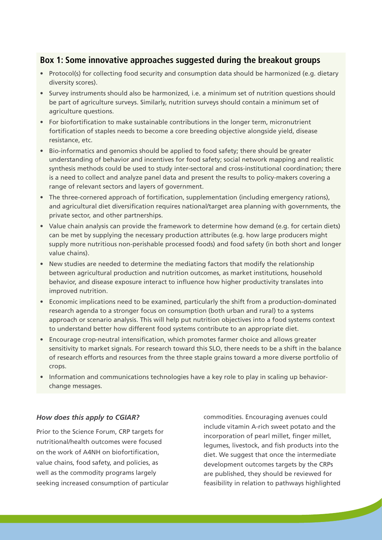# **Box 1: Some innovative approaches suggested during the breakout groups**

- Protocol(s) for collecting food security and consumption data should be harmonized (e.g. dietary diversity scores).
- Survey instruments should also be harmonized, i.e. a minimum set of nutrition questions should be part of agriculture surveys. Similarly, nutrition surveys should contain a minimum set of agriculture questions.
- For biofortification to make sustainable contributions in the longer term, micronutrient fortification of staples needs to become a core breeding objective alongside yield, disease resistance, etc.
- Bio-informatics and genomics should be applied to food safety; there should be greater understanding of behavior and incentives for food safety; social network mapping and realistic synthesis methods could be used to study inter-sectoral and cross-institutional coordination; there is a need to collect and analyze panel data and present the results to policy-makers covering a range of relevant sectors and layers of government.
- The three-cornered approach of fortification, supplementation (including emergency rations), and agricultural diet diversification requires national/target area planning with governments, the private sector, and other partnerships.
- Value chain analysis can provide the framework to determine how demand (e.g. for certain diets) can be met by supplying the necessary production attributes (e.g. how large producers might supply more nutritious non-perishable processed foods) and food safety (in both short and longer value chains).
- New studies are needed to determine the mediating factors that modify the relationship between agricultural production and nutrition outcomes, as market institutions, household behavior, and disease exposure interact to influence how higher productivity translates into improved nutrition.
- Economic implications need to be examined, particularly the shift from a production-dominated research agenda to a stronger focus on consumption (both urban and rural) to a systems approach or scenario analysis. This will help put nutrition objectives into a food systems context to understand better how different food systems contribute to an appropriate diet.
- Encourage crop-neutral intensification, which promotes farmer choice and allows greater sensitivity to market signals. For research toward this SLO, there needs to be a shift in the balance of research efforts and resources from the three staple grains toward a more diverse portfolio of crops.
- Information and communications technologies have a key role to play in scaling up behaviorchange messages.

#### *How does this apply to CGIAR?*

Prior to the Science Forum, CRP targets for nutritional/health outcomes were focused on the work of A4NH on biofortification, value chains, food safety, and policies, as well as the commodity programs largely seeking increased consumption of particular commodities. Encouraging avenues could include vitamin A-rich sweet potato and the incorporation of pearl millet, finger millet, legumes, livestock, and fish products into the diet. We suggest that once the intermediate development outcomes targets by the CRPs are published, they should be reviewed for feasibility in relation to pathways highlighted